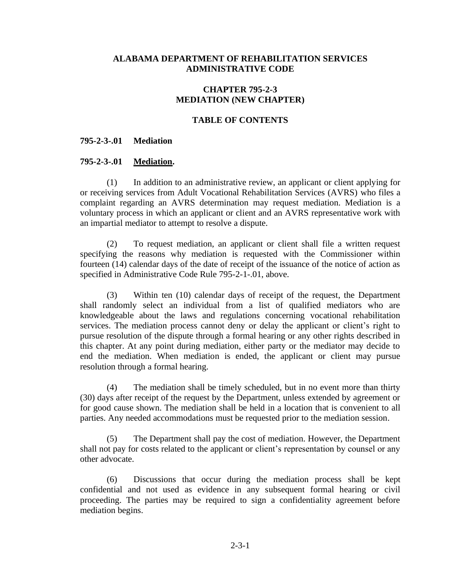## **ALABAMA DEPARTMENT OF REHABILITATION SERVICES ADMINISTRATIVE CODE**

# **CHAPTER 795-2-3 MEDIATION (NEW CHAPTER)**

### **TABLE OF CONTENTS**

#### **795-2-3-.01 Mediation**

#### **795-2-3-.01 Mediation.**

(1) In addition to an administrative review, an applicant or client applying for or receiving services from Adult Vocational Rehabilitation Services (AVRS) who files a complaint regarding an AVRS determination may request mediation. Mediation is a voluntary process in which an applicant or client and an AVRS representative work with an impartial mediator to attempt to resolve a dispute.

(2) To request mediation, an applicant or client shall file a written request specifying the reasons why mediation is requested with the Commissioner within fourteen (14) calendar days of the date of receipt of the issuance of the notice of action as specified in Administrative Code Rule 795-2-1-.01, above.

(3) Within ten (10) calendar days of receipt of the request, the Department shall randomly select an individual from a list of qualified mediators who are knowledgeable about the laws and regulations concerning vocational rehabilitation services. The mediation process cannot deny or delay the applicant or client's right to pursue resolution of the dispute through a formal hearing or any other rights described in this chapter. At any point during mediation, either party or the mediator may decide to end the mediation. When mediation is ended, the applicant or client may pursue resolution through a formal hearing.

(4) The mediation shall be timely scheduled, but in no event more than thirty (30) days after receipt of the request by the Department, unless extended by agreement or for good cause shown. The mediation shall be held in a location that is convenient to all parties. Any needed accommodations must be requested prior to the mediation session.

(5) The Department shall pay the cost of mediation. However, the Department shall not pay for costs related to the applicant or client's representation by counsel or any other advocate.

(6) Discussions that occur during the mediation process shall be kept confidential and not used as evidence in any subsequent formal hearing or civil proceeding. The parties may be required to sign a confidentiality agreement before mediation begins.